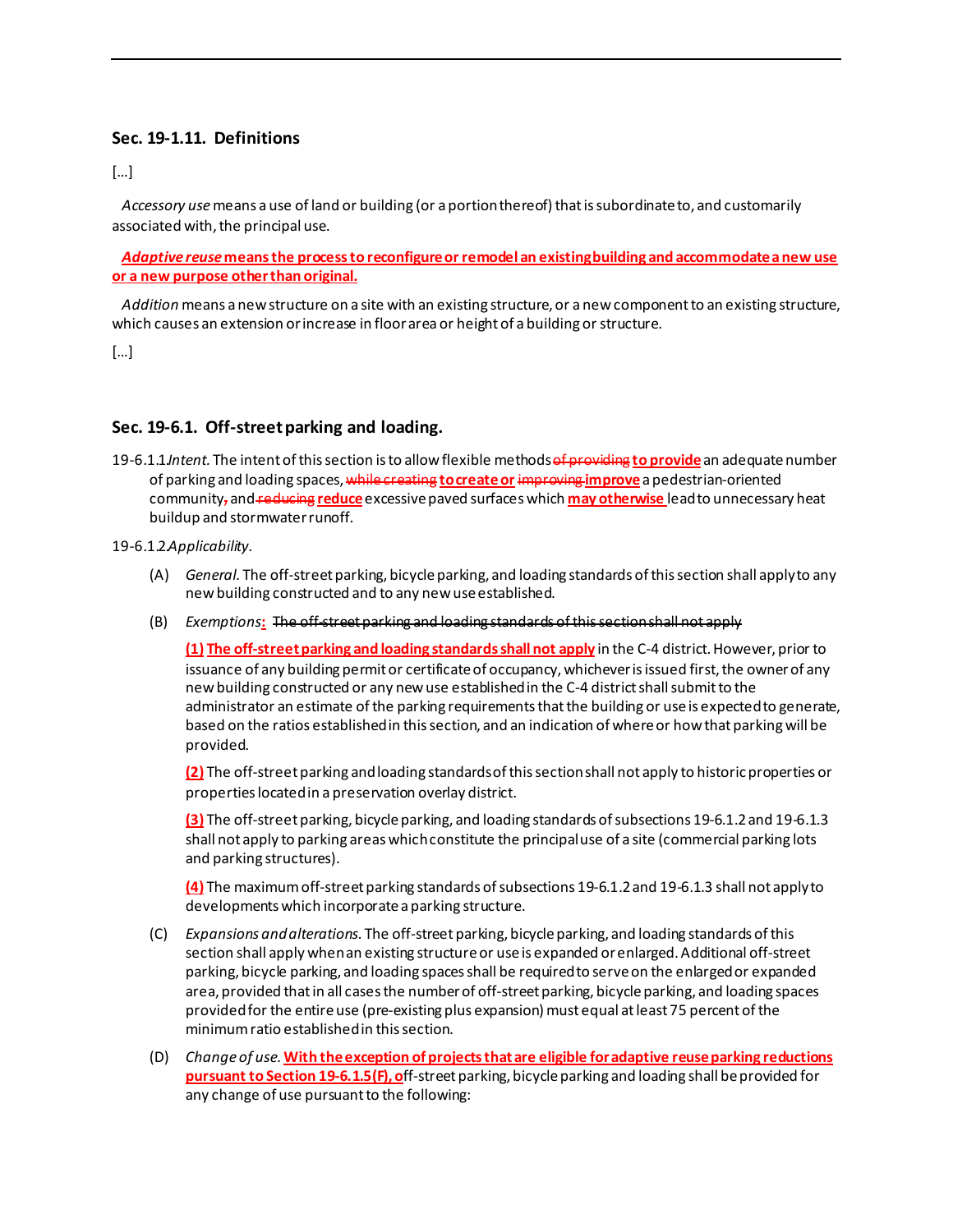## **Sec. 19-1.11. Definitions**

[…]

 *Accessory use*means a use of land or building (or a portion thereof) that is subordinate to, and customarily associated with, the principal use.

 *Adaptive reuse***means the process to reconfigure or remodel an existingbuilding and accommodate a new use or a new purpose other than original.** 

 *Addition* means a new structure on a site with an existing structure, or a new component to an existing structure, which causes an extension or increase in floor area or height of a building or structure.

[…]

## **Sec. 19-6.1. Off-street parking and loading.**

19-6.1.1.*Intent.* The intent of this section is to allow flexible methods of providing **to provide**an adequate number of parking and loading spaces, while creating **to createor** improving **improve**a pedestrian-oriented community, and reducing **reduce**excessive paved surfaces which **may otherwise** lead to unnecessary heat buildup and stormwater runoff.

19-6.1.2.*Applicability.*

- (A) *General.* The off-street parking, bicycle parking, and loading standards of this section shall apply to any new building constructed and to any new use established.
- (B) *Exemptions***:** The off-street parking and loading standards of this section shall not apply

**(1) The off-street parking and loading standards shall not apply** in the C-4 district. However, prior to issuance of any building permit or certificate of occupancy, whichever is issued first, the owner of any new building constructed or any new use established in the C-4 district shall submit to the administrator an estimate of the parking requirements that the building or use is expected to generate, based on the ratios established in this section, and an indication of where or how that parking will be provided.

**(2)** The off-street parking and loading standards of this section shall not apply to historic properties or properties located in a preservation overlay district.

**(3)** The off-street parking, bicycle parking, and loading standards of subsections 19-6.1.2 and 19-6.1.3 shall not apply to parking areas which constitute the principal use of a site (commercial parking lots and parking structures).

**(4)** The maximum off-street parking standards of subsections 19-6.1.2 and 19-6.1.3 shall not apply to developments which incorporate a parking structure.

- (C) *Expansions and alterations.* The off-street parking, bicycle parking, and loading standards of this section shall apply when an existing structure or use is expanded or enlarged. Additional off-street parking, bicycle parking, and loading spaces shall be required to serve on the enlarged or expanded area, provided that in all cases the number of off-street parking, bicycle parking, and loading spaces provided for the entire use (pre-existing plus expansion) must equal at least 75 percent of the minimum ratio established in this section.
- (D) *Change of use.***With the exception of projects that are eligible for adaptive reuse parking reductions pursuant to Section 19-6.1.5(F), o**ff-street parking, bicycle parking and loading shall be provided for any change of use pursuant to the following: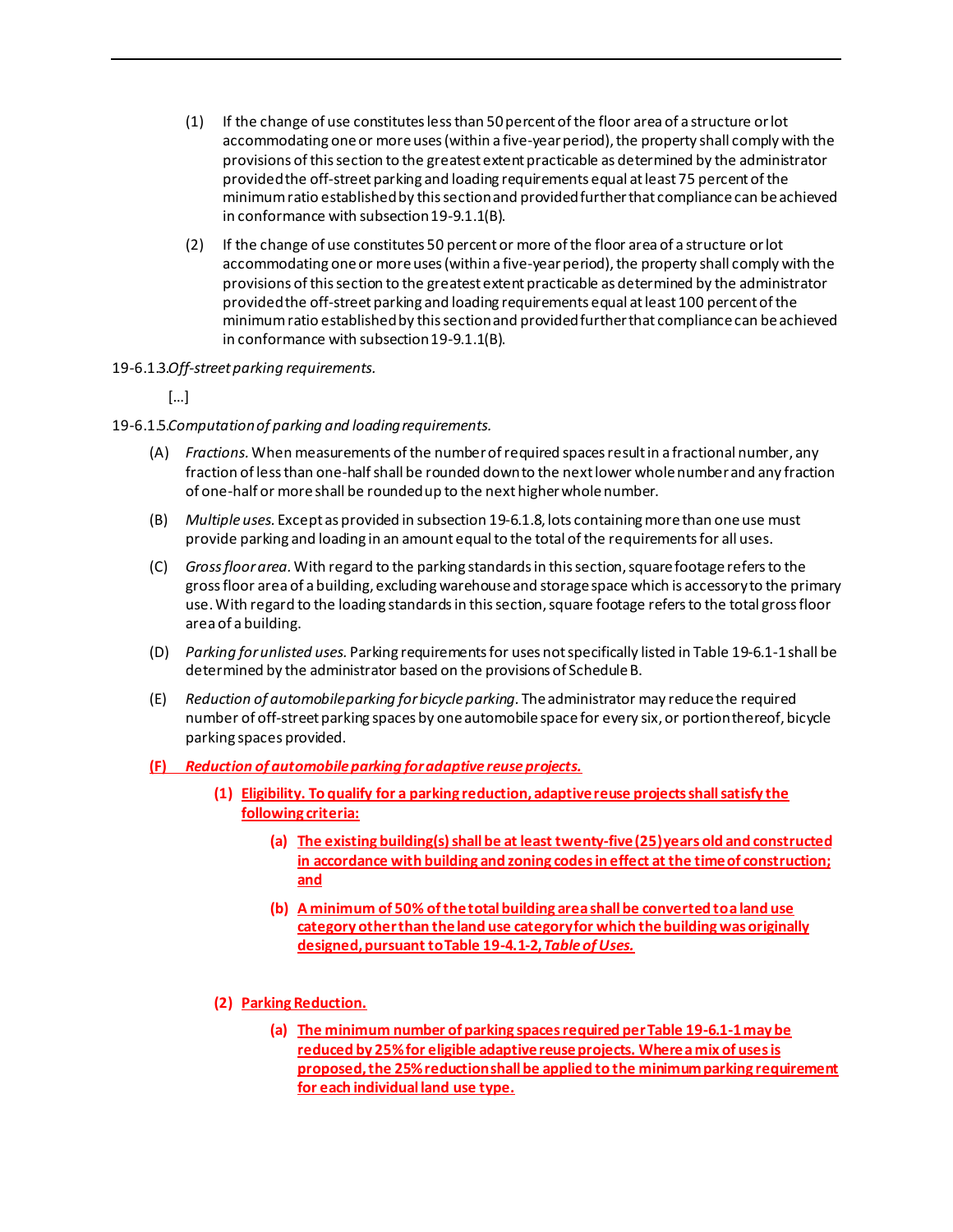- (1) If the change of use constitutes less than 50 percent of the floor area of a structure or lot accommodating one or more uses (within a five-year period), the property shall comply with the provisions of this section to the greatest extent practicable as determined by the administrator provided the off-street parking and loading requirements equal at least 75 percent of the minimum ratio established by this section and provided further that compliance can be achieved in conformance with subsection 19-9.1.1(B).
- (2) If the change of use constitutes 50 percent or more of the floor area of a structure or lot accommodating one or more uses (within a five-year period), the property shall comply with the provisions of this section to the greatest extent practicable as determined by the administrator provided the off-street parking and loading requirements equal at least 100 percent of the minimum ratio established by this section and provided further that compliance can be achieved in conformance with subsection 19-9.1.1(B).
- 19-6.1.3.*Off-street parking requirements.*

[…]

- 19-6.1.5.*Computation of parking and loading requirements.*
	- (A) *Fractions.*When measurements of the number of required spaces result in a fractional number, any fraction of less than one-half shall be rounded down to the next lower whole number and any fraction of one-half or more shall be rounded up to the next higher whole number.
	- (B) *Multiple uses.* Except as provided in subsection 19-6.1.8, lots containing more than one use must provide parking and loading in an amount equal to the total of the requirements for all uses.
	- (C) *Gross floor area.*With regard to the parking standards in this section, square footage refers to the gross floor area of a building, excluding warehouse and storage space which is accessory to the primary use. With regard to the loading standards in this section, square footage refers to the total gross floor area of a building.
	- (D) *Parking for unlisted uses.* Parking requirements for uses not specifically listed in Table 19-6.1-1 shall be determined by the administrator based on the provisions of Schedule B.
	- (E) *Reduction of automobile parking for bicycle parking.* The administrator may reduce the required number of off-street parking spaces by one automobile space for every six, or portion thereof, bicycle parking spaces provided.
	- **(F)** *Reduction of automobile parking for adaptive reuse projects.* 
		- **(1) Eligibility. To qualify for a parking reduction, adaptive reuse projects shall satisfy the following criteria:**
			- (a) The existing building(s) shall be at least twenty-five (25) years old and constructed **in accordance with building and zoning codes in effect at the time of construction; and**
			- **(b) A minimum of 50% of the total building area shall be converted to a land use category other than the land use categoryfor which the building was originally designed, pursuant to Table 19-4.1-2,** *Table of Uses.*
		- **(2) Parking Reduction.** 
			- **(a) The minimum number of parking spaces required per Table 19-6.1-1 may be reduced by 25% for eligible adaptive reuse projects. Where a mix of uses is proposed, the 25% reduction shall be applied to the minimum parking requirement for each individual land use type.**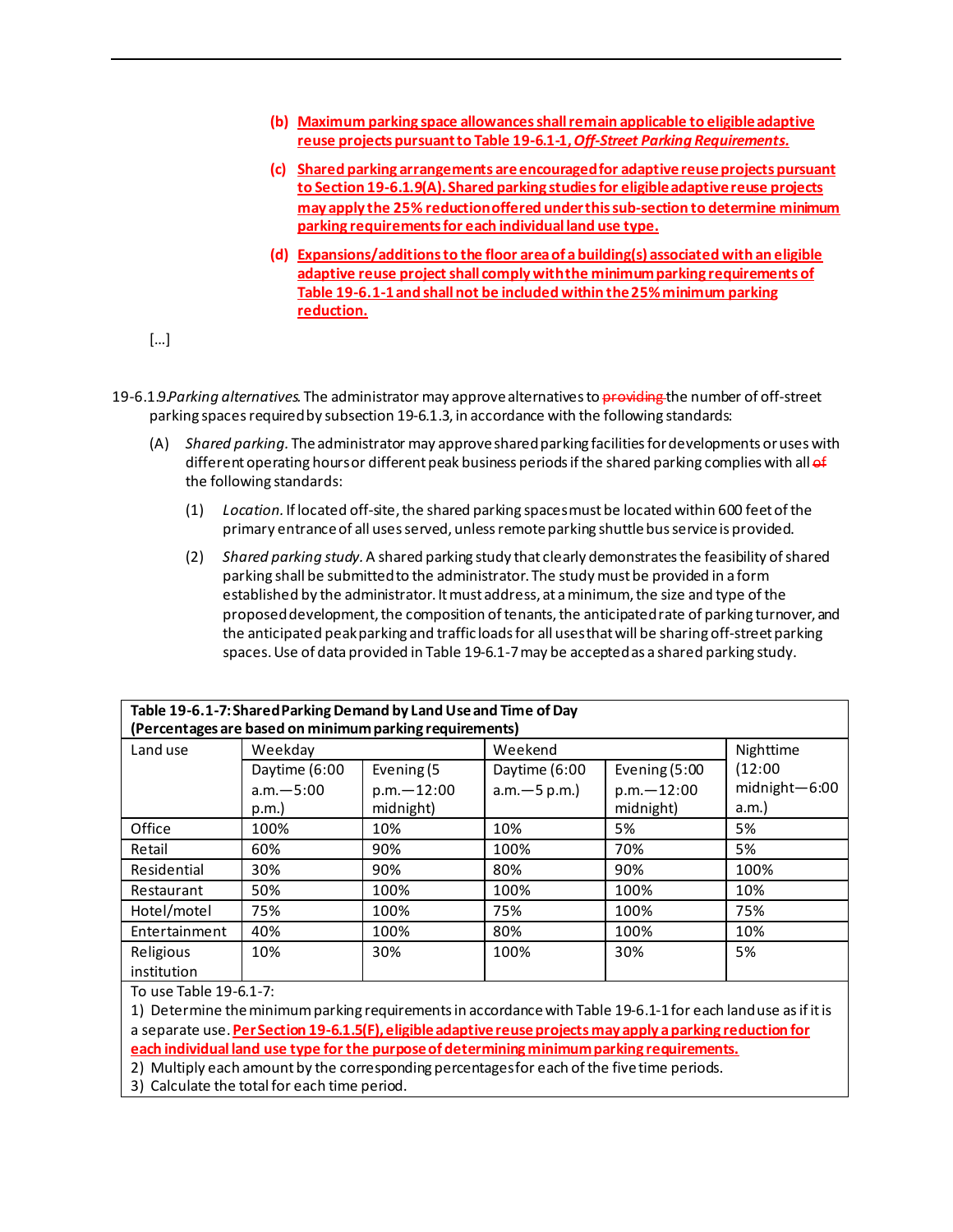- **(b) Maximum parking space allowances shall remain applicable to eligible adaptive reuse projects pursuant to Table 19-6.1-1,** *Off-Street Parking Requirements.*
- **(c) Shared parking arrangements are encouraged for adaptive reuse projects pursuant to Section 19-6.1.9(A).Shared parking studies for eligible adaptive reuse projects may apply the 25% reductionoffered under this sub-section to determine minimum parking requirements for each individual land use type.**
- **(d) Expansions/additionsto the floor area of abuilding(s) associated with an eligible adaptive reuse project shall comply with the minimum parking requirements of Table 19-6.1-1 and shall not be included within the 25% minimum parking reduction.**
- […]
- 19-6.1.9.*Parking alternatives.* The administrator may approve alternatives to providing the number of off-street parking spaces required by subsection 19-6.1.3, in accordance with the following standards:
	- (A) *Shared parking.* The administrator may approve shared parking facilities for developments or uses with different operating hours or different peak business periods if the shared parking complies with all of the following standards:
		- (1) *Location.* If located off-site, the shared parking spaces must be located within 600 feet of the primary entrance of all uses served, unless remote parking shuttle bus service is provided.
		- (2) *Shared parking study.*A shared parking study that clearly demonstrates the feasibility of shared parking shall be submitted to the administrator. The study must be provided in a form established by the administrator. It must address, at a minimum, the size and type of the proposed development, the composition of tenants, the anticipated rate of parking turnover, and the anticipated peak parking and traffic loads for all uses that will be sharing off-street parking spaces. Use of data provided in Table 19-6.1-7 may be accepted as a shared parking study.

| Table 19-6.1-7: Shared Parking Demand by Land Use and Time of Day |               |                |                 |                |             |
|-------------------------------------------------------------------|---------------|----------------|-----------------|----------------|-------------|
| (Percentages are based on minimum parking requirements)           |               |                |                 |                |             |
| Land use                                                          | Weekday       |                | Weekend         |                | Nighttime   |
|                                                                   | Daytime (6:00 | Evening (5     | Daytime (6:00   | Evening (5:00  | (12:00)     |
|                                                                   | $a.m. - 5:00$ | $p.m. - 12:00$ | $a.m. - 5 p.m.$ | $p.m. - 12:00$ | $mid$ -6:00 |
|                                                                   | p.m.          | midnight)      |                 | midnight)      | a.m.        |
| Office                                                            | 100%          | 10%            | 10%             | 5%             | 5%          |
| Retail                                                            | 60%           | 90%            | 100%            | 70%            | 5%          |
| Residential                                                       | 30%           | 90%            | 80%             | 90%            | 100%        |
| Restaurant                                                        | 50%           | 100%           | 100%            | 100%           | 10%         |
| Hotel/motel                                                       | 75%           | 100%           | 75%             | 100%           | 75%         |
| Entertainment                                                     | 40%           | 100%           | 80%             | 100%           | 10%         |
| Religious                                                         | 10%           | 30%            | 100%            | 30%            | 5%          |
| institution                                                       |               |                |                 |                |             |

To use Table 19-6.1-7:

1) Determine the minimum parking requirements in accordance with Table 19-6.1-1 for each land use as if it is a separate use. **Per Section 19-6.1.5(F), eligible adaptive reuse projects may apply a parking reduction for** 

**each individual land use type for the purpose of determining minimum parking requirements.** 2) Multiply each amount by the corresponding percentages for each of the five time periods.

3) Calculate the total for each time period.